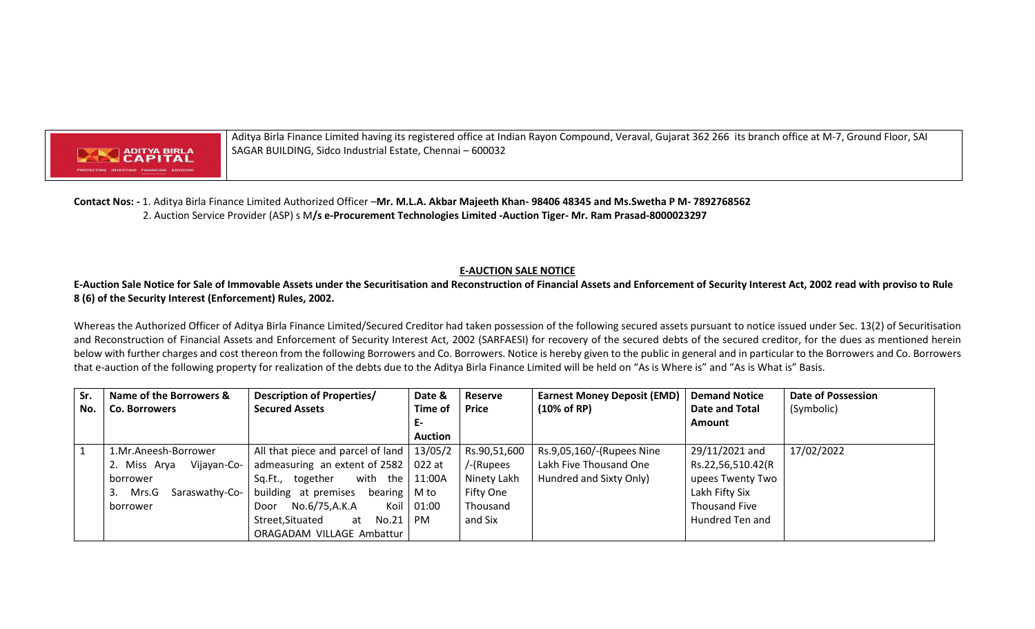

Aditya Birla Finance Limited having its registered office at Indian Rayon Compound, Veraval, Gujarat 362 266 its branch office at M-7, Ground Floor, SAI SAGAR BUILDING, Sidco Industrial Estate, Chennai – 600032

**Contact Nos: -** 1. Aditya Birla Finance Limited Authorized Officer –**Mr. M.L.A. Akbar Majeeth Khan- 98406 48345 and Ms.Swetha P M- 7892768562** 2. Auction Service Provider (ASP) s M**/s e-Procurement Technologies Limited -Auction Tiger- Mr. Ram Prasad-8000023297**

## **E-AUCTION SALE NOTICE**

**E-Auction Sale Notice for Sale of Immovable Assets under the Securitisation and Reconstruction of Financial Assets and Enforcement of Security Interest Act, 2002 read with proviso to Rule 8 (6) of the Security Interest (Enforcement) Rules, 2002.**

Whereas the Authorized Officer of Aditya Birla Finance Limited/Secured Creditor had taken possession of the following secured assets pursuant to notice issued under Sec. 13(2) of Securitisation and Reconstruction of Financial Assets and Enforcement of Security Interest Act, 2002 (SARFAESI) for recovery of the secured debts of the secured creditor, for the dues as mentioned herein below with further charges and cost thereon from the following Borrowers and Co. Borrowers. Notice is hereby given to the public in general and in particular to the Borrowers and Co. Borrowers that e-auction of the following property for realization of the debts due to the Aditya Birla Finance Limited will be held on "As is Where is" and "As is What is" Basis.

| Sr. | Name of the Borrowers &        | Description of Properties/                   | Date &         | Reserve              | <b>Earnest Money Deposit (EMD)</b> | <b>Demand Notice</b> | <b>Date of Possession</b> |
|-----|--------------------------------|----------------------------------------------|----------------|----------------------|------------------------------------|----------------------|---------------------------|
| No. | <b>Co. Borrowers</b>           | <b>Secured Assets</b>                        | Time of        | <b>Price</b>         | $(10\% \text{ of RP})$             | Date and Total       | (Symbolic)                |
|     |                                |                                              | Е-             |                      |                                    | Amount               |                           |
|     |                                |                                              | <b>Auction</b> |                      |                                    |                      |                           |
|     | 1.Mr.Aneesh-Borrower           | All that piece and parcel of land            |                | 13/05/2 Rs.90,51,600 | Rs.9,05,160/-(Rupees Nine          | 29/11/2021 and       | 17/02/2022                |
|     | 2.<br>Miss Arya<br>Vijayan-Co- | admeasuring an extent of $2582$   022 at     |                | /-(Rupees            | Lakh Five Thousand One             | Rs.22,56,510.42(R    |                           |
|     | borrower                       | Sq.Ft., together<br>with the $11:00A$        |                | Ninety Lakh          | Hundred and Sixty Only)            | upees Twenty Two     |                           |
|     | 3.<br>Mrs.G<br>Saraswathy-Co-  | bearing $\vert$ M to<br>building at premises |                | Fifty One            |                                    | Lakh Fifty Six       |                           |
|     | borrower                       | No.6/75,A.K.A<br>Koil<br>Door                | 01:00          | Thousand             |                                    | <b>Thousand Five</b> |                           |
|     |                                | Street, Situated<br>No.21<br>at              | PM.            | and Six              |                                    | Hundred Ten and      |                           |
|     |                                | ORAGADAM VILLAGE Ambattur                    |                |                      |                                    |                      |                           |